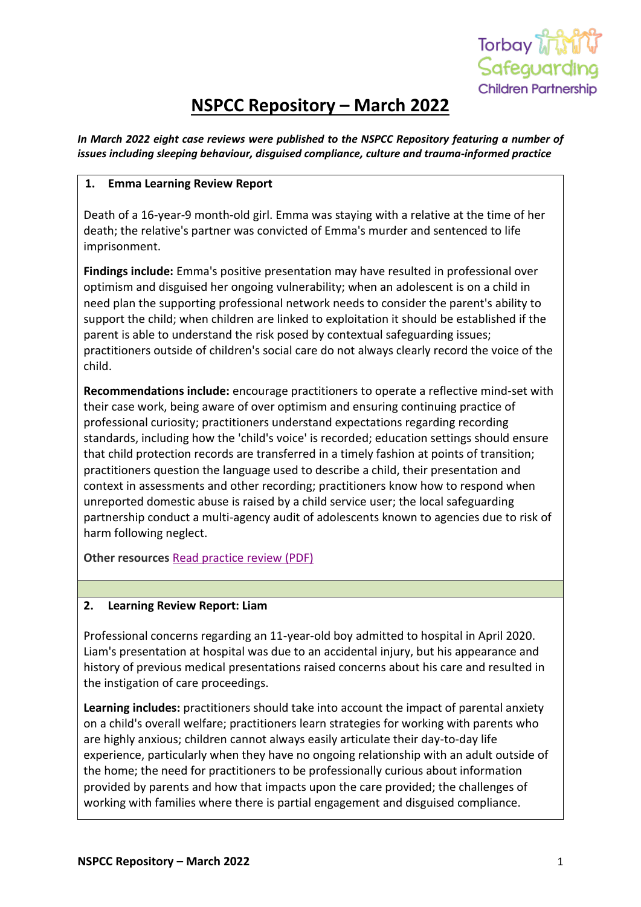

# **NSPCC Repository – March 2022**

*In March 2022 eight case reviews were published to the NSPCC Repository featuring a number of issues including sleeping behaviour, disguised compliance, culture and trauma-informed practice*

## **1. Emma Learning Review Report**

Death of a 16-year-9 month-old girl. Emma was staying with a relative at the time of her death; the relative's partner was convicted of Emma's murder and sentenced to life imprisonment.

**Findings include:** Emma's positive presentation may have resulted in professional over optimism and disguised her ongoing vulnerability; when an adolescent is on a child in need plan the supporting professional network needs to consider the parent's ability to support the child; when children are linked to exploitation it should be established if the parent is able to understand the risk posed by contextual safeguarding issues; practitioners outside of children's social care do not always clearly record the voice of the child.

**Recommendations include:** encourage practitioners to operate a reflective mind-set with their case work, being aware of over optimism and ensuring continuing practice of professional curiosity; practitioners understand expectations regarding recording standards, including how the 'child's voice' is recorded; education settings should ensure that child protection records are transferred in a timely fashion at points of transition; practitioners question the language used to describe a child, their presentation and context in assessments and other recording; practitioners know how to respond when unreported domestic abuse is raised by a child service user; the local safeguarding partnership conduct a multi-agency audit of adolescents known to agencies due to risk of harm following neglect.

**Other resources** [Read practice review \(PDF\)](https://library.nspcc.org.uk/HeritageScripts/Hapi.dll/filetransfer/2022HampshireEmmaCSPR.pdf?filename=CC18C70DB7C8C3D49403BB94EB176F95207E5F66235DCA89651F5ED2BA5DA9311A353B626CC01241A3DF9A46C54DB5560FA7CC5E4E750B85B8D4365213F27E227E87DE64065D55A03439374EB2E99784872A5ED1E238F9B0BB73&DataSetName=LIVEDATA)

## **2. Learning Review Report: Liam**

Professional concerns regarding an 11-year-old boy admitted to hospital in April 2020. Liam's presentation at hospital was due to an accidental injury, but his appearance and history of previous medical presentations raised concerns about his care and resulted in the instigation of care proceedings.

**Learning includes:** practitioners should take into account the impact of parental anxiety on a child's overall welfare; practitioners learn strategies for working with parents who are highly anxious; children cannot always easily articulate their day-to-day life experience, particularly when they have no ongoing relationship with an adult outside of the home; the need for practitioners to be professionally curious about information provided by parents and how that impacts upon the care provided; the challenges of working with families where there is partial engagement and disguised compliance.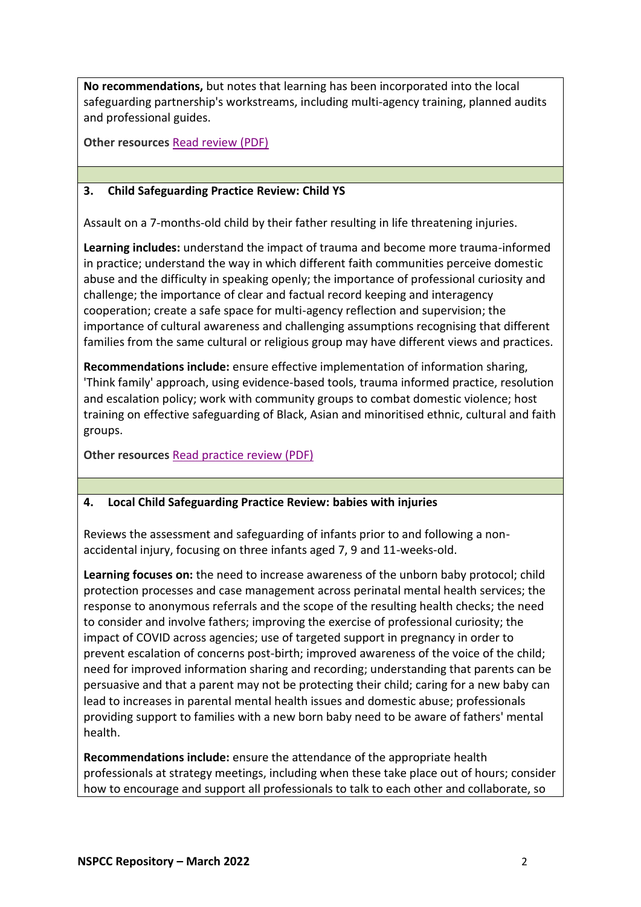**No recommendations,** but notes that learning has been incorporated into the local safeguarding partnership's workstreams, including multi-agency training, planned audits and professional guides.

**Other resources** [Read review \(PDF\)](https://library.nspcc.org.uk/HeritageScripts/Hapi.dll/filetransfer/2022HampsireLiamLearning.pdf?filename=CC18C70DB7C8C3D49403BB94EB176F95207E5F66235DCA89651F5ED2BA5DA9311A353B626CC01241A3DF9A46C54DB5560FA7CD45595C2789B8F9106031CE393C7DCF6EAF1DFD8A3A8AD5381D759AA6AEF2226ABA26D55ACF510DF8A8C7&DataSetName=LIVEDATA)

## **3. Child Safeguarding Practice Review: Child YS**

Assault on a 7-months-old child by their father resulting in life threatening injuries.

**Learning includes:** understand the impact of trauma and become more trauma-informed in practice; understand the way in which different faith communities perceive domestic abuse and the difficulty in speaking openly; the importance of professional curiosity and challenge; the importance of clear and factual record keeping and interagency cooperation; create a safe space for multi-agency reflection and supervision; the importance of cultural awareness and challenging assumptions recognising that different families from the same cultural or religious group may have different views and practices.

**Recommendations include:** ensure effective implementation of information sharing, 'Think family' approach, using evidence-based tools, trauma informed practice, resolution and escalation policy; work with community groups to combat domestic violence; host training on effective safeguarding of Black, Asian and minoritised ethnic, cultural and faith groups.

**Other resources** [Read practice review \(PDF\)](https://library.nspcc.org.uk/HeritageScripts/Hapi.dll/filetransfer/2022SandwellAndDudleyChildYSCSPR.pdf?filename=CC18C70DB7C8C3D49403BB94EB176F95207E5F66235DCA89651F5ED2BA5DA9311A353B626CC01241A3DF9A46C556B5551BA3C15B5051208C91C0116D26D9133A738D7A92283FAA079657BF8953380E20C8B3B3DFD2E503355C2F9DF0CF9120D2085ADE4056&DataSetName=LIVEDATA)

## **4. Local Child Safeguarding Practice Review: babies with injuries**

Reviews the assessment and safeguarding of infants prior to and following a nonaccidental injury, focusing on three infants aged 7, 9 and 11-weeks-old.

**Learning focuses on:** the need to increase awareness of the unborn baby protocol; child protection processes and case management across perinatal mental health services; the response to anonymous referrals and the scope of the resulting health checks; the need to consider and involve fathers; improving the exercise of professional curiosity; the impact of COVID across agencies; use of targeted support in pregnancy in order to prevent escalation of concerns post-birth; improved awareness of the voice of the child; need for improved information sharing and recording; understanding that parents can be persuasive and that a parent may not be protecting their child; caring for a new baby can lead to increases in parental mental health issues and domestic abuse; professionals providing support to families with a new born baby need to be aware of fathers' mental health.

**Recommendations include:** ensure the attendance of the appropriate health professionals at strategy meetings, including when these take place out of hours; consider how to encourage and support all professionals to talk to each other and collaborate, so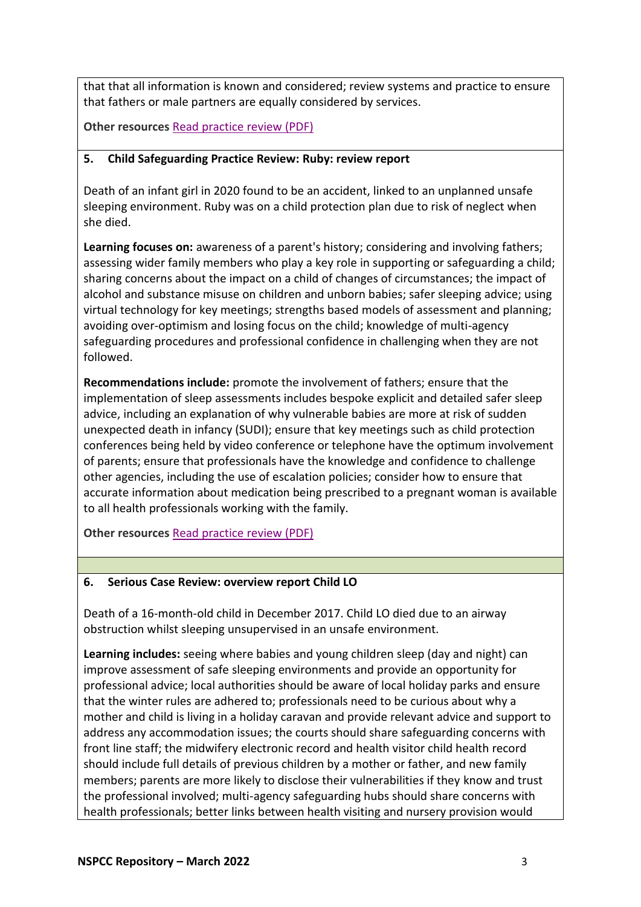that that all information is known and considered; review systems and practice to ensure that fathers or male partners are equally considered by services.

**Other resources** [Read practice review \(PDF\)](https://library.nspcc.org.uk/HeritageScripts/Hapi.dll/filetransfer/2022SwindonBabiesCSPR.pdf?filename=CC18C70DB7C8C3D49403BB94EB176F95207E5F66235DCA89651F5ED2BA5DA9311A353B626CC01241A3DF9A46C556A35211B0CB597E712C81B0C6365213F27E227E871F8464FB55A0343983C22C780273A477BFF05EF784649662&DataSetName=LIVEDATA)

## **5. Child Safeguarding Practice Review: Ruby: review report**

Death of an infant girl in 2020 found to be an accident, linked to an unplanned unsafe sleeping environment. Ruby was on a child protection plan due to risk of neglect when she died.

**Learning focuses on:** awareness of a parent's history; considering and involving fathers; assessing wider family members who play a key role in supporting or safeguarding a child; sharing concerns about the impact on a child of changes of circumstances; the impact of alcohol and substance misuse on children and unborn babies; safer sleeping advice; using virtual technology for key meetings; strengths based models of assessment and planning; avoiding over-optimism and losing focus on the child; knowledge of multi-agency safeguarding procedures and professional confidence in challenging when they are not followed.

**Recommendations include:** promote the involvement of fathers; ensure that the implementation of sleep assessments includes bespoke explicit and detailed safer sleep advice, including an explanation of why vulnerable babies are more at risk of sudden unexpected death in infancy (SUDI); ensure that key meetings such as child protection conferences being held by video conference or telephone have the optimum involvement of parents; ensure that professionals have the knowledge and confidence to challenge other agencies, including the use of escalation policies; consider how to ensure that accurate information about medication being prescribed to a pregnant woman is available to all health professionals working with the family.

**Other resources** [Read practice review \(PDF\)](https://library.nspcc.org.uk/HeritageScripts/Hapi.dll/filetransfer/2022AnonymousRubyCSPR.pdf?filename=CC18C70DB7C8C3D49403BB94EB176F95207E5F66235DCA89651F5ED2BA5DA9311A353B626CC01241A3DF9A46C544BA5411ADC95849631C9DB7CC365213F27E227E87A0B300F755A034391BEB885B09B26803FFDF0A344EC594DF&DataSetName=LIVEDATA)

## **6. Serious Case Review: overview report Child LO**

Death of a 16-month-old child in December 2017. Child LO died due to an airway obstruction whilst sleeping unsupervised in an unsafe environment.

**Learning includes:** seeing where babies and young children sleep (day and night) can improve assessment of safe sleeping environments and provide an opportunity for professional advice; local authorities should be aware of local holiday parks and ensure that the winter rules are adhered to; professionals need to be curious about why a mother and child is living in a holiday caravan and provide relevant advice and support to address any accommodation issues; the courts should share safeguarding concerns with front line staff; the midwifery electronic record and health visitor child health record should include full details of previous children by a mother or father, and new family members; parents are more likely to disclose their vulnerabilities if they know and trust the professional involved; multi-agency safeguarding hubs should share concerns with health professionals; better links between health visiting and nursery provision would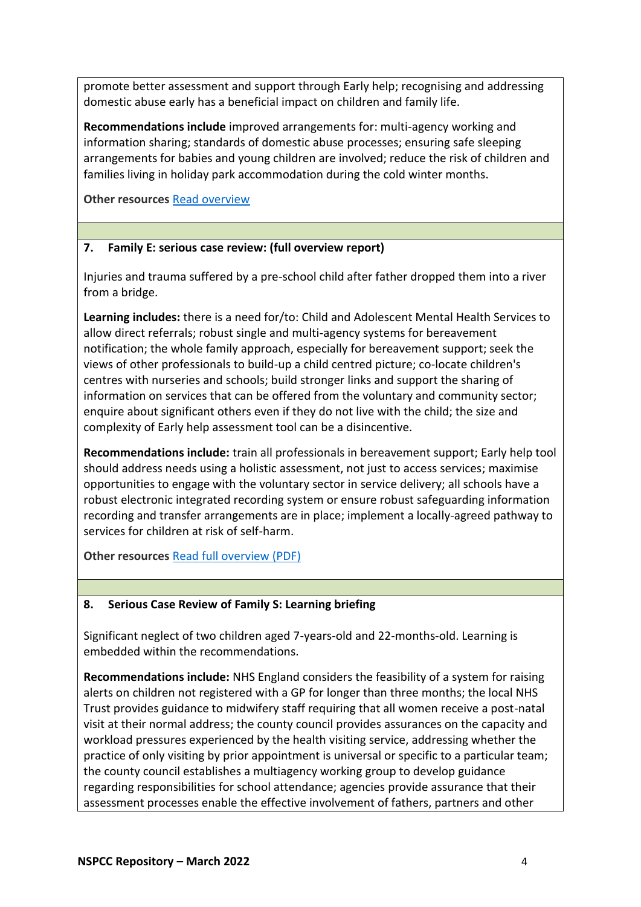promote better assessment and support through Early help; recognising and addressing domestic abuse early has a beneficial impact on children and family life.

**Recommendations include** improved arrangements for: multi-agency working and information sharing; standards of domestic abuse processes; ensuring safe sleeping arrangements for babies and young children are involved; reduce the risk of children and families living in holiday park accommodation during the cold winter months.

**Other resources** [Read overview](https://library.nspcc.org.uk/HeritageScripts/Hapi.dll/filetransfer/2021BlackburnWithDBLChildLOOverview.pdf?filename=CC18C70DB7C8C3D49403BB94EB176F95207E5F66235DCA89651F5ED2BA2CCB261E3465333D9955019283FD1D836D90793397CC5E507402A79AC3107335C9352534917AAD9A4377C7688E3FAD055176702005876CD476428481F71915&DataSetName=LIVEDATA)

## **7. Family E: serious case review: (full overview report)**

Injuries and trauma suffered by a pre-school child after father dropped them into a river from a bridge.

**Learning includes:** there is a need for/to: Child and Adolescent Mental Health Services to allow direct referrals; robust single and multi-agency systems for bereavement notification; the whole family approach, especially for bereavement support; seek the views of other professionals to build-up a child centred picture; co-locate children's centres with nurseries and schools; build stronger links and support the sharing of information on services that can be offered from the voluntary and community sector; enquire about significant others even if they do not live with the child; the size and complexity of Early help assessment tool can be a disincentive.

**Recommendations include:** train all professionals in bereavement support; Early help tool should address needs using a holistic assessment, not just to access services; maximise opportunities to engage with the voluntary sector in service delivery; all schools have a robust electronic integrated recording system or ensure robust safeguarding information recording and transfer arrangements are in place; implement a locally-agreed pathway to services for children at risk of self-harm.

**Other resources** [Read full overview \(PDF\)](https://library.nspcc.org.uk/HeritageScripts/Hapi.dll/filetransfer/2019BoltonFamilyEOverview.pdf?filename=CC18C70DB7C8C3D49403BB94EB176F95207E5F66235DCA89651F5ED2BA5DA9311A353B626FCB1241A3DF9A45CE47BB570BBBCA715D7D2784ACF03A7726D2263B7F9630BB1F1AC67D00EF631AC5B4E9D09D95D43A40CA902CFE38F1CE982D&DataSetName=LIVEDATA)

## **8. Serious Case Review of Family S: Learning briefing**

Significant neglect of two children aged 7-years-old and 22-months-old. Learning is embedded within the recommendations.

**Recommendations include:** NHS England considers the feasibility of a system for raising alerts on children not registered with a GP for longer than three months; the local NHS Trust provides guidance to midwifery staff requiring that all women receive a post-natal visit at their normal address; the county council provides assurances on the capacity and workload pressures experienced by the health visiting service, addressing whether the practice of only visiting by prior appointment is universal or specific to a particular team; the county council establishes a multiagency working group to develop guidance regarding responsibilities for school attendance; agencies provide assurance that their assessment processes enable the effective involvement of fathers, partners and other